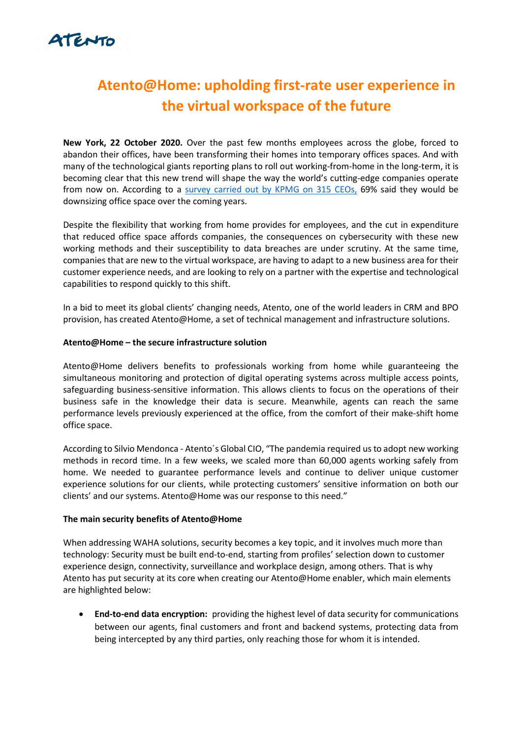# ATENTO

# Atento@Home: upholding first-rate user experience in the virtual workspace of the future

New York, 22 October 2020. Over the past few months employees across the globe, forced to abandon their offices, have been transforming their homes into temporary offices spaces. And with many of the technological giants reporting plans to roll out working-from-home in the long-term, it is becoming clear that this new trend will shape the way the world's cutting-edge companies operate from now on. According to a survey carried out by KPMG on 315 CEOs, 69% said they would be downsizing office space over the coming years.

Despite the flexibility that working from home provides for employees, and the cut in expenditure that reduced office space affords companies, the consequences on cybersecurity with these new working methods and their susceptibility to data breaches are under scrutiny. At the same time, companies that are new to the virtual workspace, are having to adapt to a new business area for their customer experience needs, and are looking to rely on a partner with the expertise and technological capabilities to respond quickly to this shift.

In a bid to meet its global clients' changing needs, Atento, one of the world leaders in CRM and BPO provision, has created Atento@Home, a set of technical management and infrastructure solutions.

### Atento@Home – the secure infrastructure solution

Atento@Home delivers benefits to professionals working from home while guaranteeing the simultaneous monitoring and protection of digital operating systems across multiple access points, safeguarding business-sensitive information. This allows clients to focus on the operations of their business safe in the knowledge their data is secure. Meanwhile, agents can reach the same performance levels previously experienced at the office, from the comfort of their make-shift home office space.

According to Silvio Mendonca - Atento´s Global CIO, "The pandemia required us to adopt new working methods in record time. In a few weeks, we scaled more than 60,000 agents working safely from home. We needed to guarantee performance levels and continue to deliver unique customer experience solutions for our clients, while protecting customers' sensitive information on both our clients' and our systems. Atento@Home was our response to this need."

### The main security benefits of Atento@Home

When addressing WAHA solutions, security becomes a key topic, and it involves much more than technology: Security must be built end-to-end, starting from profiles' selection down to customer experience design, connectivity, surveillance and workplace design, among others. That is why Atento has put security at its core when creating our Atento@Home enabler, which main elements are highlighted below:

• End-to-end data encryption: providing the highest level of data security for communications between our agents, final customers and front and backend systems, protecting data from being intercepted by any third parties, only reaching those for whom it is intended.